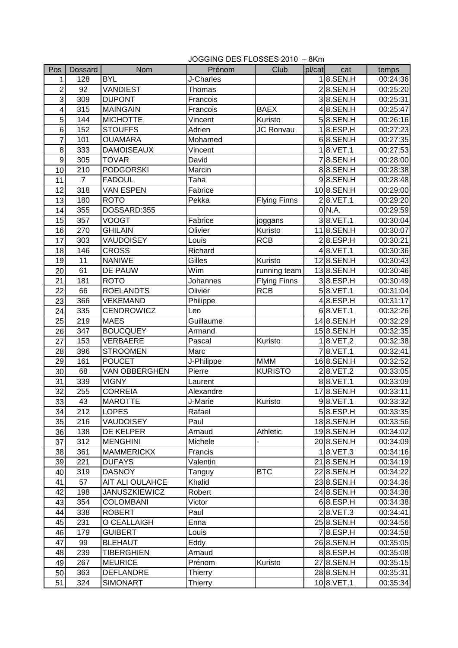|                  | JOGGING DES FLOSSES 2010 - 8Km |                      |            |                     |        |                  |          |  |
|------------------|--------------------------------|----------------------|------------|---------------------|--------|------------------|----------|--|
| Pos              | Dossard                        | Nom                  | Prénom     | Club                | pl/cat | cat              | temps    |  |
| 1                | 128                            | <b>BYL</b>           | J-Charles  |                     |        | $18.$ SEN.H      | 00:24:36 |  |
| $\overline{c}$   | 92                             | <b>VANDIEST</b>      | Thomas     |                     |        | $2 8$ .SEN.H     | 00:25:20 |  |
| 3                | 309                            | <b>DUPONT</b>        | Francois   |                     |        | $3 8$ .SEN.H     | 00:25:31 |  |
| 4                | 315                            | <b>MAINGAIN</b>      | Francois   | <b>BAEX</b>         |        | $4 8$ .SEN.H     | 00:25:47 |  |
| 5                | 144                            | <b>MICHOTTE</b>      | Vincent    | Kuristo             |        | $5 8$ .SEN.H     | 00:26:16 |  |
| 6                | 152                            | <b>STOUFFS</b>       | Adrien     | <b>JC Ronvau</b>    |        | 1 8.ESP.H        | 00:27:23 |  |
| 7                | 101                            | <b>OUAMARA</b>       | Mohamed    |                     |        | $6 8.$ SEN.H     | 00:27:35 |  |
| 8                | 333                            | <b>DAMOISEAUX</b>    | Vincent    |                     |        | $1 8.$ VET. 1    | 00:27:53 |  |
| $\boldsymbol{9}$ | 305                            | <b>TOVAR</b>         | David      |                     |        | 78.SEN.H         | 00:28:00 |  |
| 10               | 210                            | <b>PODGORSKI</b>     | Marcin     |                     |        | 88.SEN.H         | 00:28:38 |  |
| 11               | $\overline{7}$                 | <b>FADOUL</b>        | Taha       |                     |        | $9 8.$ SEN.H     | 00:28:48 |  |
| 12               | 318                            | <b>VAN ESPEN</b>     | Fabrice    |                     |        | 108.SEN.H        | 00:29:00 |  |
| 13               | 180                            | <b>ROTO</b>          | Pekka      | <b>Flying Finns</b> |        | 28.VET.1         | 00:29:20 |  |
| 14               | 355                            | DOSSARD:355          |            |                     |        | 0 N.A.           | 00:29:59 |  |
| 15               | 357                            | <b>VOOGT</b>         | Fabrice    | joggans             |        | 38.VET.1         | 00:30:04 |  |
| 16               | 270                            | <b>GHILAIN</b>       | Olivier    | Kuristo             |        | 118.SEN.H        | 00:30:07 |  |
| 17               | 303                            | <b>VAUDOISEY</b>     | Louis      | <b>RCB</b>          |        | 2 8.ESP.H        | 00:30:21 |  |
| 18               | 146                            | <b>CROSS</b>         | Richard    |                     |        | $4 8.$ VET.1     | 00:30:36 |  |
| 19               | 11                             | <b>NANIWE</b>        | Gilles     | Kuristo             |        | 128.SEN.H        | 00:30:43 |  |
| 20               | 61                             | DE PAUW              | Wim        | running team        |        | 138.SEN.H        | 00:30:46 |  |
| 21               | 181                            | <b>ROTO</b>          | Johannes   | <b>Flying Finns</b> |        | 38.ESP.H         | 00:30:49 |  |
| 22               | 66                             | <b>ROELANDTS</b>     | Olivier    | <b>RCB</b>          |        | 58.VET.1         | 00:31:04 |  |
| 23               | 366                            | <b>VEKEMAND</b>      | Philippe   |                     |        | 4 8.ESP.H        | 00:31:17 |  |
| 24               | 335                            | <b>CENDROWICZ</b>    | Leo        |                     |        | 68.VET.1         | 00:32:26 |  |
| 25               | 219                            | <b>MAES</b>          | Guillaume  |                     |        | 148.SEN.H        | 00:32:29 |  |
| 26               | 347                            | <b>BOUCQUEY</b>      | Armand     |                     |        | 158.SEN.H        | 00:32:35 |  |
| 27               | 153                            | <b>VERBAERE</b>      | Pascal     | Kuristo             |        | 18.VET.2         | 00:32:38 |  |
| 28               | 396                            | <b>STROOMEN</b>      | Marc       |                     |        | 78.VET.1         | 00:32:41 |  |
| 29               | 161                            | <b>POUCET</b>        | J-Philippe | <b>MMM</b>          |        | 168.SEN.H        | 00:32:52 |  |
| 30               | 68                             | VAN OBBERGHEN        | Pierre     | <b>KURISTO</b>      |        | $2 8.$ VET. $2$  | 00:33:05 |  |
| 31               | 339                            | <b>VIGNY</b>         | Laurent    |                     |        | 88.VET.1         | 00:33:09 |  |
| 32               | 255                            | <b>CORREIA</b>       | Alexandre  |                     |        | 178.SEN.H        | 00:33:11 |  |
| 33               | 43                             | <b>MAROTTE</b>       | J-Marie    | Kuristo             |        | $9$ $8.$ VET.1   | 00:33:32 |  |
| 34               | 212                            | <b>LOPES</b>         | Rafael     |                     |        | 58.ESP.H         | 00:33:35 |  |
| 35               | 216                            | <b>VAUDOISEY</b>     | Paul       |                     |        | 188.SEN.H        | 00:33:56 |  |
| 36               | 138                            | DE KELPER            | Arnaud     | Athletic            |        | 198.SEN.H        | 00:34:02 |  |
| 37               | 312                            | <b>MENGHINI</b>      | Michele    |                     |        | 208.SEN.H        | 00:34:09 |  |
| 38               | 361                            | <b>MAMMERICKX</b>    | Francis    |                     |        | $1 8.$ VET.3     | 00:34:16 |  |
| 39               | 221                            | <b>DUFAYS</b>        | Valentin   |                     |        | 218.SEN.H        | 00:34:19 |  |
| 40               | 319                            | <b>DASNOY</b>        | Tanguy     | <b>BTC</b>          |        | 22 8.SEN.H       | 00:34:22 |  |
| 41               | 57                             | AIT ALI OULAHCE      | Khalid     |                     |        | 23 8.SEN.H       | 00:34:36 |  |
| 42               | 198                            | <b>JANUSZKIEWICZ</b> | Robert     |                     |        | 24 8.SEN.H       | 00:34:38 |  |
| 43               | 354                            | <b>COLOMBANI</b>     | Victor     |                     |        | 6 8.ESP.H        | 00:34:38 |  |
| 44               | 338                            | <b>ROBERT</b>        | Paul       |                     |        | $2 8.$ VET.3     | 00:34:41 |  |
| 45               | 231                            | O CEALLAIGH          | Enna       |                     |        | 25 8.SEN.H       | 00:34:56 |  |
| 46               | 179                            | <b>GUIBERT</b>       | Louis      |                     |        | 7 8.ESP.H        | 00:34:58 |  |
| 47               | 99                             | <b>BLEHAUT</b>       | Eddy       |                     |        | 26 8.SEN.H       | 00:35:05 |  |
| 48               | 239                            | <b>TIBERGHIEN</b>    | Arnaud     |                     |        | $8$   $8$ .ESP.H | 00:35:08 |  |
| 49               | 267                            | <b>MEURICE</b>       | Prénom     | Kuristo             |        | 27 8.SEN.H       | 00:35:15 |  |
| 50               | 363                            | <b>DEFLANDRE</b>     | Thierry    |                     |        | 28 8.SEN.H       | 00:35:31 |  |
| 51               | 324                            | <b>SIMONART</b>      | Thierry    |                     |        | 108.VET.1        | 00:35:34 |  |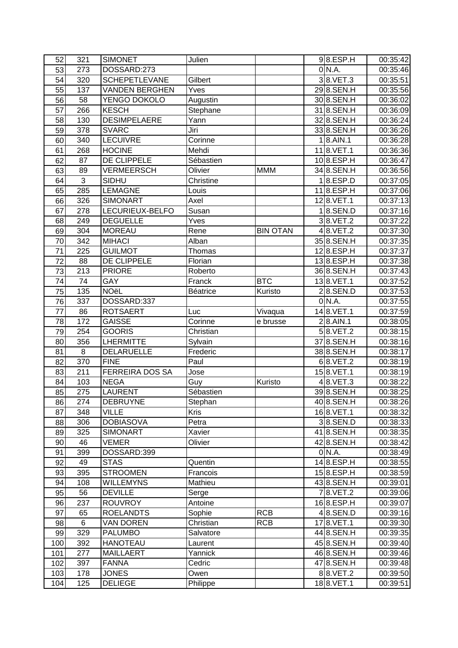| 52  | 321 | <b>SIMONET</b>        | Julien          |                 | 9 8.ESP.H       | 00:35:42 |
|-----|-----|-----------------------|-----------------|-----------------|-----------------|----------|
| 53  | 273 | DOSSARD:273           |                 |                 | 0 N.A.          | 00:35:46 |
| 54  | 320 | <b>SCHEPETLEVANE</b>  | Gilbert         |                 | 38.VET.3        | 00:35:51 |
| 55  | 137 | <b>VANDEN BERGHEN</b> | Yves            |                 | 298.SEN.H       | 00:35:56 |
| 56  | 58  | YENGO DOKOLO          | Augustin        |                 | 30 8.SEN.H      | 00:36:02 |
| 57  | 266 | <b>KESCH</b>          | Stephane        |                 | 318.SEN.H       | 00:36:09 |
| 58  | 130 | <b>DESIMPELAERE</b>   | Yann            |                 | 328.SEN.H       | 00:36:24 |
| 59  | 378 | <b>SVARC</b>          | Jiri            |                 | 338.SEN.H       | 00:36:26 |
| 60  | 340 | <b>LECUIVRE</b>       | Corinne         |                 | $1 8.$ AIN.1    | 00:36:28 |
| 61  | 268 | <b>HOCINE</b>         | Mehdi           |                 | 118.VET.1       | 00:36:36 |
| 62  | 87  | DE CLIPPELE           | Sébastien       |                 | 108.ESP.H       | 00:36:47 |
| 63  | 89  | <b>VERMEERSCH</b>     | Olivier         | <b>MMM</b>      | 34 8.SEN.H      | 00:36:56 |
| 64  | 3   | SIDHU                 | Christine       |                 | 1 8.ESP.D       | 00:37:05 |
| 65  | 285 | <b>LEMAGNE</b>        |                 |                 | 118.ESP.H       | 00:37:06 |
|     |     |                       | Louis           |                 |                 |          |
| 66  | 326 | <b>SIMONART</b>       | Axel            |                 | 128.VET.1       | 00:37:13 |
| 67  | 278 | LECURIEUX-BELFO       | Susan           |                 | $1 8$ .SEN.D    | 00:37:16 |
| 68  | 249 | <b>DEGUELLE</b>       | Yves            |                 | 38.VET.2        | 00:37:22 |
| 69  | 304 | <b>MOREAU</b>         | Rene            | <b>BIN OTAN</b> | $4 8.$ VET. $2$ | 00:37:30 |
| 70  | 342 | <b>MIHACI</b>         | Alban           |                 | 35 8.SEN.H      | 00:37:35 |
| 71  | 225 | <b>GUILMOT</b>        | <b>Thomas</b>   |                 | 128.ESP.H       | 00:37:37 |
| 72  | 88  | DE CLIPPELE           | Florian         |                 | 138.ESP.H       | 00:37:38 |
| 73  | 213 | <b>PRIORE</b>         | Roberto         |                 | 36 8.SEN.H      | 00:37:43 |
| 74  | 74  | GAY                   | Franck          | <b>BTC</b>      | 138.VET.1       | 00:37:52 |
| 75  | 135 | <b>NOëL</b>           | <b>Béatrice</b> | Kuristo         | $2 8$ .SEN.D    | 00:37:53 |
| 76  | 337 | DOSSARD:337           |                 |                 | 0 N.A.          | 00:37:55 |
| 77  | 86  | <b>ROTSAERT</b>       | Luc             | Vivaqua         | 148.VET.1       | 00:37:59 |
| 78  | 172 | <b>GAISSE</b>         | Corinne         | e brusse        | $2 8.$ AIN.1    | 00:38:05 |
| 79  | 254 | <b>GOORIS</b>         | Christian       |                 | $5 8.$ VET.2    | 00:38:15 |
| 80  | 356 | <b>LHERMITTE</b>      | Sylvain         |                 | 37 8.SEN.H      | 00:38:16 |
| 81  | 8   | <b>DELARUELLE</b>     | Frederic        |                 | 38 8.SEN.H      | 00:38:17 |
| 82  | 370 | <b>FINE</b>           | Paul            |                 | $6$  8.VET.2    | 00:38:19 |
| 83  | 211 | FERREIRA DOS SA       | Jose            |                 | 158.VET.1       | 00:38:19 |
| 84  | 103 | <b>NEGA</b>           | Guy             | Kuristo         | $4 8.$ VET.3    | 00:38:22 |
| 85  | 275 | <b>LAURENT</b>        | Sébastien       |                 | 398.SEN.H       | 00:38:25 |
| 86  | 274 | <b>DEBRUYNE</b>       | Stephan         |                 | 408.SEN.H       | 00:38:26 |
| 87  | 348 | <b>VILLE</b>          | Kris            |                 | 168.VET.1       | 00:38:32 |
| 88  | 306 | <b>DOBIASOVA</b>      | Petra           |                 | $3 8$ .SEN.D    | 00:38:33 |
| 89  | 325 | <b>SIMONART</b>       | Xavier          |                 | 418.SEN.H       | 00:38:35 |
| 90  | 46  | <b>VEMER</b>          | Olivier         |                 | 428.SEN.H       | 00:38:42 |
| 91  | 399 | DOSSARD:399           |                 |                 | 0 N.A.          | 00:38:49 |
| 92  | 49  | <b>STAS</b>           | Quentin         |                 | $14$  8.ESP.H   | 00:38:55 |
| 93  | 395 | <b>STROOMEN</b>       | Francois        |                 | 158.ESP.H       | 00:38:59 |
| 94  | 108 | <b>WILLEMYNS</b>      | Mathieu         |                 | 438.SEN.H       | 00:39:01 |
| 95  | 56  | <b>DEVILLE</b>        | Serge           |                 | 78.VET.2        | 00:39:06 |
| 96  | 237 | <b>ROUVROY</b>        | Antoine         |                 | 168.ESP.H       | 00:39:07 |
| 97  | 65  | <b>ROELANDTS</b>      | Sophie          | <b>RCB</b>      | $4$  8.SEN.D    | 00:39:16 |
|     |     |                       |                 |                 |                 |          |
| 98  | 6   | <b>VAN DOREN</b>      | Christian       | <b>RCB</b>      | 178.VET.1       | 00:39:30 |
| 99  | 329 | <b>PALUMBO</b>        | Salvatore       |                 | 44 8.SEN.H      | 00:39:35 |
| 100 | 392 | <b>HANOTEAU</b>       | Laurent         |                 | 45 8.SEN.H      | 00:39:40 |
| 101 | 277 | <b>MAILLAERT</b>      | Yannick         |                 | 468.SEN.H       | 00:39:46 |
| 102 | 397 | <b>FANNA</b>          | Cedric          |                 | 47 8.SEN.H      | 00:39:48 |
| 103 | 178 | <b>JONES</b>          | Owen            |                 | 88.VET.2        | 00:39:50 |
| 104 | 125 | <b>DELIEGE</b>        | Philippe        |                 | 188.VET.1       | 00:39:51 |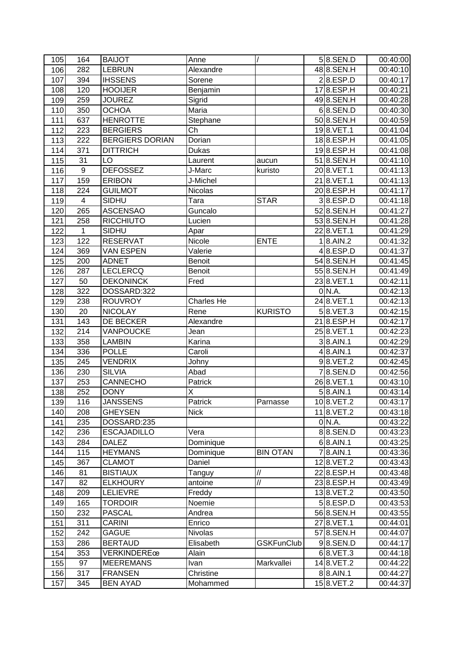| 105        | 164            | <b>BAIJOT</b>                         | Anne               |                                  | $5 8$ .SEN.D              | 00:40:00             |
|------------|----------------|---------------------------------------|--------------------|----------------------------------|---------------------------|----------------------|
| 106        | 282            | <b>LEBRUN</b>                         | Alexandre          |                                  | 488.SEN.H                 | 00:40:10             |
| 107        | 394            | <b>IHSSENS</b>                        | Sorene             |                                  | 2 8.ESP.D                 | 00:40:17             |
| 108        | 120            | <b>HOOIJER</b>                        | Benjamin           |                                  | 178.ESP.H                 | 00:40:21             |
| 109        | 259            | <b>JOUREZ</b>                         | Sigrid             |                                  | 498.SEN.H                 | 00:40:28             |
| 110        | 350            | <b>OCHOA</b>                          | Maria              |                                  | $60.$ SEN.D               | 00:40:30             |
| 111        | 637            | <b>HENROTTE</b>                       | Stephane           |                                  | 50 8.SEN.H                | 00:40:59             |
| 112        | 223            | <b>BERGIERS</b>                       | Ch                 |                                  | 198.VET.1                 | 00:41:04             |
| 113        | 222            | <b>BERGIERS DORIAN</b>                | Dorian             |                                  | 188.ESP.H                 | 00:41:05             |
| 114        | 371            | <b>DITTRICH</b>                       | <b>Dukas</b>       |                                  | 198.ESP.H                 | 00:41:08             |
| 115        | 31             | LO                                    | Laurent            | aucun                            | 518.SEN.H                 | 00:41:10             |
| 116        | $\overline{9}$ | <b>DEFOSSEZ</b>                       | J-Marc             | kuristo                          | 20 8. VET. 1              | 00:41:13             |
| 117        | 159            | <b>ERIBON</b>                         | J-Michel           |                                  | 218.VET.1                 | 00:41:13             |
| 118        | 224            | <b>GUILMOT</b>                        | Nicolas            |                                  | 208.ESP.H                 | 00:41:17             |
| 119        | 4              | SIDHU                                 | Tara               | <b>STAR</b>                      | 3 8.ESP.D                 | 00:41:18             |
| 120        | 265            | <b>ASCENSAO</b>                       | Guncalo            |                                  | 528.SEN.H                 | 00:41:27             |
| 121        | 258            | <b>RICCHIUTO</b>                      | Lucien             |                                  | 538.SEN.H                 | 00:41:28             |
| 122        | 1              | SIDHU                                 | Apar               |                                  | 228.VET.1                 | 00:41:29             |
| 123        | 122            | <b>RESERVAT</b>                       | Nicole             | <b>ENTE</b>                      | $1 8.$ AIN.2              | 00:41:32             |
| 124        | 369            | <b>VAN ESPEN</b>                      | Valerie            |                                  | 4 8.ESP.D                 | 00:41:37             |
| 125        | 200            | <b>ADNET</b>                          | <b>Benoit</b>      |                                  | 54 8.SEN.H                | 00:41:45             |
| 126        | 287            | <b>LECLERCQ</b>                       | <b>Benoit</b>      |                                  | 558.SEN.H                 | 00:41:49             |
| 127        | 50             | <b>DEKONINCK</b>                      | Fred               |                                  | 238.VET.1                 | 00:42:11             |
| 128        | 322            | DOSSARD:322                           |                    |                                  | 0 N.A.                    | 00:42:13             |
| 129        | 238            | <b>ROUVROY</b>                        | <b>Charles He</b>  |                                  | 24 8. VET. 1              | 00:42:13             |
| 130        | 20             | <b>NICOLAY</b>                        | Rene               | <b>KURISTO</b>                   | 58.VET.3                  | 00:42:15             |
| 131        | 143            | DE BECKER                             | Alexandre          |                                  | 218.ESP.H                 | 00:42:17             |
| 132        | 214            | VANPOUCKE                             | Jean               |                                  | 258.VET.1                 | 00:42:23             |
| 133        | 358            | <b>LAMBIN</b>                         | Karina             |                                  | $3 8.$ AIN.1              | 00:42:29             |
| 134        | 336            | <b>POLLE</b>                          | Caroli             |                                  | $4 8.$ AIN.1              | 00:42:37             |
| 135        | 245            | <b>VENDRIX</b>                        | Johny              |                                  | $9$ $8.$ VET. $2$         | 00:42:45             |
| 136        | 230            | <b>SILVIA</b>                         | Abad               |                                  | $\overline{7}$ 8.SEN.D    | 00:42:56             |
| 137        | 253            | <b>CANNECHO</b>                       | Patrick            |                                  | 268.VET.1                 | 00:43:10             |
| 138        | 252            | <b>DONY</b>                           | X                  |                                  | $5 8.$ AIN.1              | 00:43:14             |
| 139        | 116            | <b>JANSSENS</b>                       | Patrick            | Parnasse                         | 108.VET.2                 | 00:43:17             |
| 140        | 208            | <b>GHEYSEN</b>                        | <b>Nick</b>        |                                  | 118.VET.2                 | 00:43:18             |
| 141        | 235            | DOSSARD:235                           |                    |                                  | 0 N.A.                    | 00:43:22             |
| 142        | 236            | <b>ESCAJADILLO</b>                    | Vera               |                                  | 88.SEN.D                  | 00:43:23             |
| 143        | 284            | <b>DALEZ</b>                          | Dominique          |                                  | $6$   8.AIN.1             | 00:43:25             |
| 144        | 115            | <b>HEYMANS</b>                        | Dominique          | <b>BIN OTAN</b>                  | $7 8.$ AIN.1              | 00:43:36             |
| 145        | 367            | <b>CLAMOT</b>                         | Daniel             |                                  | 128.VET.2                 | 00:43:43             |
| 146        | 81             | <b>BISTIAUX</b>                       |                    | $\ensuremath{\mathnormal{/\!/}}$ | 22 8.ESP.H                | 00:43:48             |
|            | 82             |                                       | Tanguy             | $\ensuremath{\mathnormal{/\!/}}$ | 23 8.ESP.H                | 00:43:49             |
| 147        |                | <b>ELKHOURY</b>                       | antoine            |                                  |                           |                      |
| 148        | 209            | <b>LELIEVRE</b>                       | Freddy             |                                  | 138.VET.2                 | 00:43:50             |
| 149        | 165            | <b>TORDOIR</b>                        | Noemie             |                                  | 5 8.ESP.D                 | 00:43:53             |
| 150<br>151 | 232<br>311     | <b>PASCAL</b><br><b>CARINI</b>        | Andrea             |                                  | 568.SEN.H<br>27 8. VET. 1 | 00:43:55<br>00:44:01 |
|            |                |                                       | Enrico             |                                  |                           |                      |
| 152        | 242            | <b>GAGUE</b>                          | Nivolas            |                                  | 578.SEN.H<br>$9 8$ .SEN.D | 00:44:07             |
| 153        | 286<br>353     | <b>BERTAUD</b><br><b>VERKINDERE</b> œ | Elisabeth<br>Alain | <b>GSKFunClub</b>                | $6$  8.VET.3              | 00:44:17             |
| 154        | 97             | <b>MEEREMANS</b>                      |                    | Markvallei                       | 148.VET.2                 | 00:44:18             |
| 155        | 317            |                                       | Ivan<br>Christine  |                                  | 88.AIN.1                  | 00:44:22             |
| 156        |                | <b>FRANSEN</b>                        |                    |                                  |                           | 00:44:27             |
| 157        | 345            | <b>BEN AYAD</b>                       | Mohammed           |                                  | 158.VET.2                 | 00:44:37             |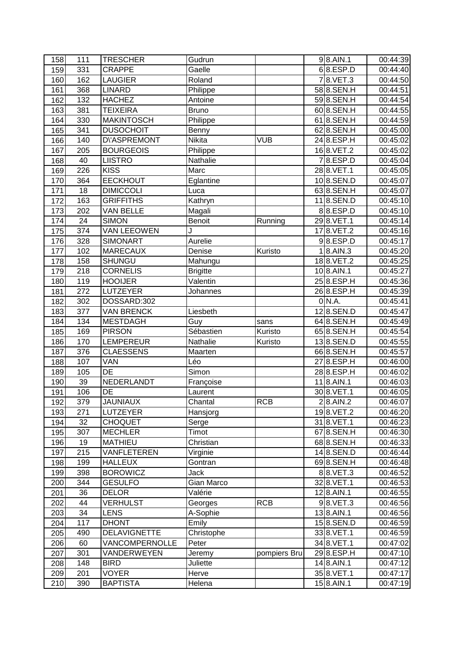| 158 | 111 | <b>TRESCHER</b>      | Gudrun          |              | $9 8.$ AIN.1            | 00:44:39 |
|-----|-----|----------------------|-----------------|--------------|-------------------------|----------|
| 159 | 331 | <b>CRAPPE</b>        | Gaelle          |              | 6 8.ESP.D               | 00:44:40 |
| 160 | 162 | <b>LAUGIER</b>       | Roland          |              | 78.VET.3                | 00:44:50 |
| 161 | 368 | <b>LINARD</b>        | Philippe        |              | 588.SEN.H               | 00:44:51 |
| 162 | 132 | <b>HACHEZ</b>        | Antoine         |              | 598.SEN.H               | 00:44:54 |
| 163 | 381 | <b>TEIXEIRA</b>      | <b>Bruno</b>    |              | 608.SEN.H               | 00:44:55 |
| 164 | 330 | <b>MAKINTOSCH</b>    | Philippe        |              | 618.SEN.H               | 00:44:59 |
| 165 | 341 | <b>DUSOCHOIT</b>     | Benny           |              | 628.SEN.H               | 00:45:00 |
| 166 | 140 | <b>D</b> \'ASPREMONT | Nikita          | <b>VUB</b>   | 248.ESP.H               | 00:45:02 |
| 167 | 205 | <b>BOURGEOIS</b>     | Philippe        |              | 168.VET.2               | 00:45:02 |
| 168 | 40  | <b>LIISTRO</b>       | Nathalie        |              | $\overline{7 8}$ .ESP.D | 00:45:04 |
| 169 | 226 | <b>KISS</b>          | Marc            |              | 288.VET.1               | 00:45:05 |
| 170 | 364 | <b>EECKHOUT</b>      | Eglantine       |              | 108.SEN.D               | 00:45:07 |
| 171 | 18  | <b>DIMICCOLI</b>     | Luca            |              | 638.SEN.H               | 00:45:07 |
| 172 | 163 | <b>GRIFFITHS</b>     | Kathryn         |              | 118.SEN.D               | 00:45:10 |
| 173 | 202 | <b>VAN BELLE</b>     | Magali          |              | 88.ESP.D                | 00:45:10 |
| 174 | 24  | <b>SIMON</b>         | <b>Benoit</b>   | Running      | 298.VET.1               | 00:45:14 |
| 175 | 374 | <b>VAN LEEOWEN</b>   | J               |              | 178.VET.2               | 00:45:16 |
| 176 | 328 | <b>SIMONART</b>      | Aurelie         |              | $9$ $8$ .ESP.D          | 00:45:17 |
| 177 | 102 | <b>MARECAUX</b>      | Denise          | Kuristo      | $1 8.$ AIN.3            | 00:45:20 |
| 178 | 158 | <b>SHUNGU</b>        | Mahungu         |              | 188.VET.2               | 00:45:25 |
| 179 | 218 | <b>CORNELIS</b>      | <b>Brigitte</b> |              | 108.AIN.1               | 00:45:27 |
| 180 | 119 | <b>HOOIJER</b>       | Valentin        |              | $258.$ ESP.H            | 00:45:36 |
| 181 | 272 | LUTZEYER             | Johannes        |              | 268.ESP.H               | 00:45:39 |
| 182 | 302 | DOSSARD:302          |                 |              | $0\vert N.A.$           | 00:45:41 |
| 183 | 377 | <b>VAN BRENCK</b>    | Liesbeth        |              | 128.SEN.D               | 00:45:47 |
| 184 | 134 | <b>MESTDAGH</b>      | Guy             | sans         | 648.SEN.H               | 00:45:49 |
| 185 | 169 | <b>PIRSON</b>        | Sébastien       | Kuristo      | 658.SEN.H               | 00:45:54 |
| 186 | 170 | <b>LEMPEREUR</b>     | Nathalie        | Kuristo      | 138.SEN.D               | 00:45:55 |
| 187 | 376 | <b>CLAESSENS</b>     | Maarten         |              | 668.SEN.H               | 00:45:57 |
| 188 | 107 | <b>VAN</b>           | Léo             |              | 278.ESP.H               | 00:46:00 |
| 189 | 105 | <b>DE</b>            | Simon           |              | 288.ESP.H               | 00:46:02 |
| 190 | 39  | NEDERLANDT           | Françoise       |              | $118.$ AIN.1            | 00:46:03 |
| 191 | 106 | DE                   | Laurent         |              | 308.VET.1               | 00:46:05 |
| 192 | 379 | <b>JAUNIAUX</b>      | Chantal         | <b>RCB</b>   | $2 8.$ AIN.2            | 00:46:07 |
| 193 | 271 | LUTZEYER             | Hansjorg        |              | 198.VET.2               | 00:46:20 |
| 194 | 32  | <b>CHOQUET</b>       | Serge           |              | 318.VET.1               | 00:46:23 |
| 195 | 307 | <b>MECHLER</b>       | Timot           |              | 678.SEN.H               | 00:46:30 |
| 196 | 19  | <b>MATHIEU</b>       | Christian       |              | 688.SEN.H               | 00:46:33 |
| 197 | 215 | VANFLETEREN          | Virginie        |              | 148.SEN.D               | 00:46:44 |
| 198 | 199 | <b>HALLEUX</b>       | Gontran         |              | 698.SEN.H               | 00:46:48 |
| 199 | 398 | <b>BOROWICZ</b>      | Jack            |              | 88.VET.3                | 00:46:52 |
| 200 | 344 | <b>GESULFO</b>       | Gian Marco      |              | 328.VET.1               | 00:46:53 |
| 201 | 36  | <b>DELOR</b>         | Valérie         |              | 128.AIN.1               | 00:46:55 |
| 202 | 44  | <b>VERHULST</b>      | Georges         | <b>RCB</b>   | $9$ 8.VET.3             | 00:46:56 |
| 203 | 34  | <b>LENS</b>          | A-Sophie        |              | 138.AIN.1               | 00:46:56 |
| 204 | 117 | <b>DHONT</b>         | Emily           |              | 158.SEN.D               | 00:46:59 |
| 205 | 490 | <b>DELAVIGNETTE</b>  | Christophe      |              | 338.VET.1               | 00:46:59 |
| 206 | 60  | VANCOMPERNOLLE       | Peter           |              | 34 8. VET. 1            | 00:47:02 |
| 207 | 301 | VANDERWEYEN          | Jeremy          | pompiers Bru | 298.ESP.H               | 00:47:10 |
| 208 | 148 | <b>BIRD</b>          | Juliette        |              | 14 8.AIN.1              | 00:47:12 |
| 209 | 201 | <b>VOYER</b>         | Herve           |              | 358.VET.1               | 00:47:17 |
| 210 | 390 | <b>BAPTISTA</b>      | Helena          |              | 15 8.AIN.1              | 00:47:19 |
|     |     |                      |                 |              |                         |          |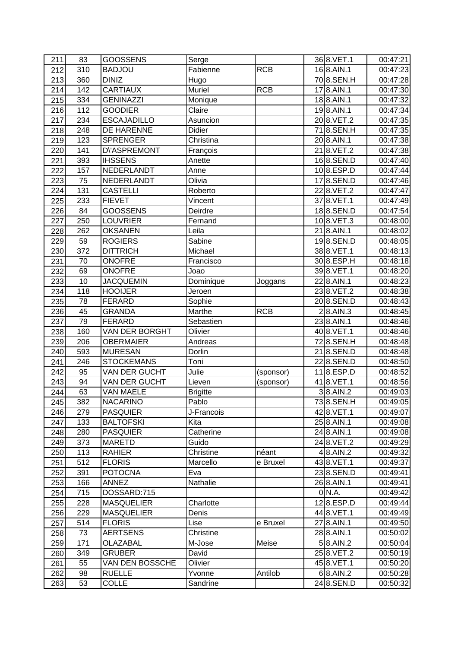| 211 | 83  | <b>GOOSSENS</b>      | Serge           |            | 36 8.VET.1     | 00:47:21 |
|-----|-----|----------------------|-----------------|------------|----------------|----------|
| 212 | 310 | <b>BADJOU</b>        | Fabienne        | <b>RCB</b> | $16$ 8.AIN.1   | 00:47:23 |
| 213 | 360 | <b>DINIZ</b>         | Hugo            |            | 708.SEN.H      | 00:47:28 |
| 214 | 142 | <b>CARTIAUX</b>      | Muriel          | <b>RCB</b> | 178.AIN.1      | 00:47:30 |
| 215 | 334 | <b>GENINAZZI</b>     | Monique         |            | 188.AIN.1      | 00:47:32 |
| 216 | 112 | <b>GOODIER</b>       | Claire          |            | $19$ 8. AIN. 1 | 00:47:34 |
| 217 | 234 | <b>ESCAJADILLO</b>   | Asuncion        |            | 20 8.VET.2     | 00:47:35 |
| 218 | 248 | DE HARENNE           | Didier          |            | 718.SEN.H      | 00:47:35 |
| 219 | 123 | <b>SPRENGER</b>      | Christina       |            | 20 8.AIN.1     | 00:47:38 |
| 220 | 141 | <b>D</b> \'ASPREMONT | François        |            | 218.VET.2      | 00:47:38 |
| 221 | 393 | <b>IHSSENS</b>       | Anette          |            | 168.SEN.D      | 00:47:40 |
| 222 | 157 | NEDERLANDT           | Anne            |            | 108.ESP.D      | 00:47:44 |
| 223 | 75  | NEDERLANDT           | Olivia          |            | 178.SEN.D      | 00:47:46 |
| 224 | 131 | <b>CASTELLI</b>      | Roberto         |            | 228.VET.2      | 00:47:47 |
| 225 | 233 | <b>FIEVET</b>        | Vincent         |            | 37 8.VET.1     | 00:47:49 |
| 226 | 84  | <b>GOOSSENS</b>      | Deirdre         |            | 188.SEN.D      | 00:47:54 |
| 227 | 250 | <b>LOUVRIER</b>      | Fernand         |            | 108.VET.3      | 00:48:00 |
| 228 | 262 | <b>OKSANEN</b>       | Leila           |            | 21 8.AIN.1     | 00:48:02 |
| 229 | 59  | <b>ROGIERS</b>       | Sabine          |            | 198.SEN.D      | 00:48:05 |
| 230 | 372 | <b>DITTRICH</b>      | Michael         |            | 388.VET.1      | 00:48:13 |
| 231 | 70  | <b>ONOFRE</b>        | Francisco       |            | 30 8.ESP.H     | 00:48:18 |
| 232 | 69  | <b>ONOFRE</b>        | Joao            |            | 39 8. VET. 1   | 00:48:20 |
| 233 | 10  | <b>JACQUEMIN</b>     | Dominique       | Joggans    | 22 8.AIN.1     | 00:48:23 |
| 234 | 118 | <b>HOOIJER</b>       | Jeroen          |            | 238.VET.2      | 00:48:38 |
| 235 | 78  | <b>FERARD</b>        | Sophie          |            | 20 8.SEN.D     | 00:48:43 |
| 236 | 45  | <b>GRANDA</b>        | Marthe          | <b>RCB</b> | $2 8.$ AIN.3   | 00:48:45 |
| 237 | 79  | <b>FERARD</b>        | Sebastien       |            | 23 8.AIN.1     | 00:48:46 |
| 238 | 160 | VAN DER BORGHT       | Olivier         |            | 408.VET.1      | 00:48:46 |
| 239 | 206 | <b>OBERMAIER</b>     | Andreas         |            | 728.SEN.H      | 00:48:48 |
| 240 | 593 | <b>MURESAN</b>       | Dorlin          |            | 218.SEN.D      | 00:48:48 |
| 241 | 246 | <b>STOCKEMANS</b>    | Toni            |            | 228.SEN.D      | 00:48:50 |
| 242 | 95  | <b>VAN DER GUCHT</b> | Julie           | (sponsor)  | 118.ESP.D      | 00:48:52 |
| 243 | 94  | VAN DER GUCHT        | Lieven          | (sponsor)  | 418.VET.1      | 00:48:56 |
| 244 | 63  | <b>VAN MAELE</b>     | <b>Brigitte</b> |            | $3 8.$ AIN.2   | 00:49:03 |
| 245 | 382 | <b>NACARINO</b>      | Pablo           |            | 738.SEN.H      | 00:49:05 |
| 246 | 279 | <b>PASQUIER</b>      | J-Francois      |            | 428.VET.1      | 00:49:07 |
| 247 | 133 | <b>BALTOFSKI</b>     | Kita            |            | 25 8.AIN.1     | 00:49:08 |
| 248 | 280 | <b>PASQUIER</b>      | Catherine       |            | 24 8.AIN.1     | 00:49:08 |
| 249 | 373 | <b>MARETD</b>        | Guido           |            | 24 8. VET. 2   | 00:49:29 |
| 250 | 113 | <b>RAHIER</b>        | Christine       | néant      | $4 8.$ AIN.2   | 00:49:32 |
| 251 | 512 | <b>FLORIS</b>        | Marcello        | e Bruxel   | 438.VET.1      | 00:49:37 |
| 252 | 391 | <b>POTOCNA</b>       | Eva             |            | 238.SEN.D      | 00:49:41 |
| 253 | 166 | ANNEZ                | Nathalie        |            | 26 8.AIN.1     | 00:49:41 |
| 254 | 715 | DOSSARD:715          |                 |            | $0\,$ N.A.     | 00:49:42 |
| 255 | 228 | <b>MASQUELIER</b>    | Charlotte       |            | 128.ESP.D      | 00:49:44 |
| 256 | 229 | <b>MASQUELIER</b>    | Denis           |            | 44 8. VET. 1   | 00:49:49 |
| 257 | 514 | <b>FLORIS</b>        | Lise            | e Bruxel   | 27 8.AIN.1     | 00:49:50 |
| 258 | 73  | <b>AERTSENS</b>      | Christine       |            | 28 8.AIN.1     | 00:50:02 |
| 259 | 171 | OLAZABAL             | M-Jose          | Meise      | $5 8.$ AIN.2   | 00:50:04 |
| 260 | 349 | <b>GRUBER</b>        | David           |            | 25 8. VET. 2   | 00:50:19 |
| 261 | 55  | VAN DEN BOSSCHE      | Olivier         |            | 45 8. VET. 1   | 00:50:20 |
| 262 | 98  | <b>RUELLE</b>        | Yvonne          | Antilob    | $6$  8.AIN.2   | 00:50:28 |
| 263 | 53  | <b>COLLE</b>         | Sandrine        |            | 248.SEN.D      | 00:50:32 |
|     |     |                      |                 |            |                |          |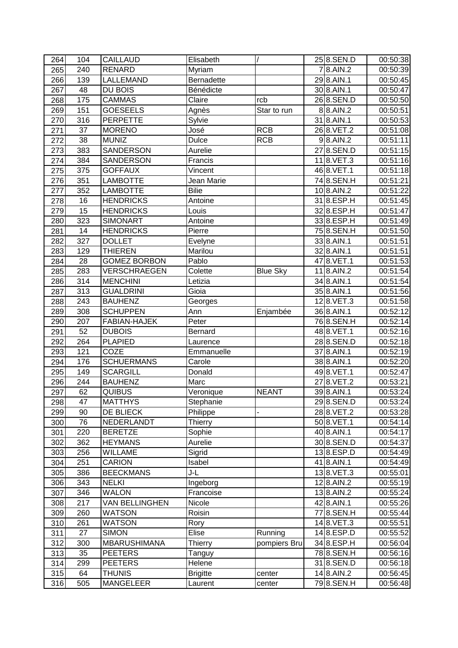| 264        | 104      | <b>CAILLAUD</b>     | Elisabeth             |                 | 258.SEN.D      | 00:50:38 |
|------------|----------|---------------------|-----------------------|-----------------|----------------|----------|
| 265        | 240      | <b>RENARD</b>       | Myriam                |                 | 78.AIN.2       | 00:50:39 |
| 266        | 139      | LALLEMAND           | <b>Bernadette</b>     |                 | 298.AIN.1      | 00:50:45 |
| 267        | 48       | DU BOIS             | Bénédicte             |                 | 30 8.AIN.1     | 00:50:47 |
| 268        | 175      | <b>CAMMAS</b>       | Claire                | rcb             | 268.SEN.D      | 00:50:50 |
| 269        | 151      | <b>GOESEELS</b>     | Agnès                 | Star to run     | 88.AIN.2       | 00:50:51 |
| 270        | 316      | <b>PERPETTE</b>     | Sylvie                |                 | 31 8.AIN.1     | 00:50:53 |
| 271        | 37       | <b>MORENO</b>       | José                  | <b>RCB</b>      | 26 8. VET. 2   | 00:51:08 |
| 272        | 38       | <b>MUNIZ</b>        | <b>Dulce</b>          | <b>RCB</b>      | $9$ 8.AIN.2    | 00:51:11 |
| 273        | 383      | <b>SANDERSON</b>    | Aurelie               |                 | 278.SEN.D      | 00:51:15 |
| 274        | 384      | <b>SANDERSON</b>    | Francis               |                 | $11 8.$ VET. 3 | 00:51:16 |
| 275        | 375      | <b>GOFFAUX</b>      | Vincent               |                 | 46 8. VET. 1   | 00:51:18 |
| 276        | 351      | <b>LAMBOTTE</b>     | Jean Marie            |                 | 74 8.SEN.H     | 00:51:21 |
| 277        | 352      | <b>LAMBOTTE</b>     | <b>Bilie</b>          |                 | 10 8.AIN.2     | 00:51:22 |
| 278        | 16       | <b>HENDRICKS</b>    | Antoine               |                 | 318.ESP.H      | 00:51:45 |
| 279        | 15       | <b>HENDRICKS</b>    | Louis                 |                 | 328.ESP.H      | 00:51:47 |
| 280        | 323      | <b>SIMONART</b>     | Antoine               |                 | 338.ESP.H      | 00:51:49 |
| 281        | 14       | <b>HENDRICKS</b>    | Pierre                |                 | 758.SEN.H      | 00:51:50 |
| 282        | 327      | <b>DOLLET</b>       | Evelyne               |                 | 33 8.AIN.1     | 00:51:51 |
| 283        | 129      | <b>THIEREN</b>      | Marilou               |                 | 32 8.AIN.1     | 00:51:51 |
| 284        | 28       | <b>GOMEZ BORBON</b> | Pablo                 |                 | 478.VET.1      | 00:51:53 |
| 285        | 283      | <b>VERSCHRAEGEN</b> | Colette               | <b>Blue Sky</b> | 118.AIN.2      | 00:51:54 |
| 286        | 314      | <b>MENCHINI</b>     | Letizia               |                 | 34 8.AIN.1     | 00:51:54 |
| 287        | 313      | <b>GUALDRINI</b>    | Gioia                 |                 | 35 8.AIN.1     | 00:51:56 |
| 288        | 243      | <b>BAUHENZ</b>      | Georges               |                 | 128.VET.3      | 00:51:58 |
| 289        | 308      | <b>SCHUPPEN</b>     | Ann                   | Enjambée        | 36 8.AIN.1     | 00:52:12 |
| 290        | 207      | FABIAN-HAJEK        | Peter                 |                 | 768.SEN.H      | 00:52:14 |
| 291        | 52       | <b>DUBOIS</b>       | <b>Bernard</b>        |                 | 488.VET.1      | 00:52:16 |
| 292        | 264      | <b>PLAPIED</b>      | Laurence              |                 | 288.SEN.D      | 00:52:18 |
| 293        | 121      | COZE                | Emmanuelle            |                 | 37 8.AIN.1     | 00:52:19 |
| 294        | 176      | <b>SCHUERMANS</b>   | Carole                |                 | 38 8.AIN.1     | 00:52:20 |
| 295        | 149      | <b>SCARGILL</b>     | Donald                |                 | 498.VET.1      | 00:52:47 |
| 296        | 244      | <b>BAUHENZ</b>      | Marc                  |                 | 278.VET.2      | 00:53:21 |
| 297        | 62       | <b>QUIBUS</b>       | Veronique             | <b>NEANT</b>    | 398.AIN.1      | 00:53:24 |
|            |          | <b>MATTHYS</b>      |                       |                 | 298.SEN.D      | 00:53:24 |
| 298        | 47<br>90 | DE BLIECK           | Stephanie<br>Philippe |                 | 288.VET.2      | 00:53:28 |
| 299<br>300 | 76       | NEDERLANDT          |                       |                 | 508.VET.1      | 00:54:14 |
|            |          | <b>BERETZE</b>      | Thierry<br>Sophie     |                 | 40 8.AIN.1     |          |
| 301        | 220      |                     |                       |                 |                | 00:54:17 |
| 302        | 362      | <b>HEYMANS</b>      | Aurelie               |                 | 308.SEN.D      | 00:54:37 |
| 303        | 256      | <b>WILLAME</b>      | Sigrid                |                 | 138.ESP.D      | 00:54:49 |
| 304        | 251      | <b>CARION</b>       | Isabel                |                 | 41 8.AIN.1     | 00:54:49 |
| 305        | 386      | <b>BEECKMANS</b>    | J-L                   |                 | 138.VET.3      | 00:55:01 |
| 306        | 343      | <b>NELKI</b>        | Ingeborg              |                 | 128.AIN.2      | 00:55:19 |
| 307        | 346      | <b>WALON</b>        | Francoise             |                 | 138.AIN.2      | 00:55:24 |
| 308        | 217      | VAN BELLINGHEN      | Nicole                |                 | 42 8.AIN.1     | 00:55:26 |
| 309        | 260      | <b>WATSON</b>       | Roisin                |                 | 77 8.SEN.H     | 00:55:44 |
| 310        | 261      | <b>WATSON</b>       | Rory                  |                 | 148.VET.3      | 00:55:51 |
| 311        | 27       | <b>SIMON</b>        | Elise                 | Running         | 148.ESP.D      | 00:55:52 |
| 312        | 300      | <b>MBARUSHIMANA</b> | Thierry               | pompiers Bru    | 348.ESP.H      | 00:56:04 |
| 313        | 35       | <b>PEETERS</b>      | Tanguy                |                 | 78 8.SEN.H     | 00:56:16 |
| 314        | 299      | <b>PEETERS</b>      | Helene                |                 | 318.SEN.D      | 00:56:18 |
| 315        | 64       | <b>THUNIS</b>       | <b>Brigitte</b>       | center          | 14 8.AIN.2     | 00:56:45 |
| 316        | 505      | <b>MANGELEER</b>    | Laurent               | center          | 798.SEN.H      | 00:56:48 |